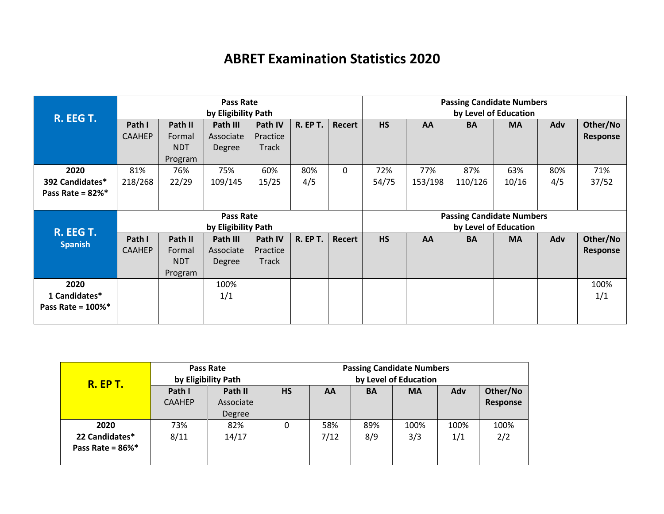## **ABRET Examination Statistics 2020**

| R. EEG T.             | <b>Pass Rate</b><br>by Eligibility Path |            |                     |          |                 | <b>Passing Candidate Numbers</b><br>by Level of Education |           |         |                                  |                       |     |          |
|-----------------------|-----------------------------------------|------------|---------------------|----------|-----------------|-----------------------------------------------------------|-----------|---------|----------------------------------|-----------------------|-----|----------|
|                       | Path I                                  | Path II    | Path III            | Path IV  | <b>R. EP T.</b> | Recert                                                    | <b>HS</b> | AA      | <b>BA</b>                        | <b>MA</b>             | Adv | Other/No |
|                       | <b>CAAHEP</b>                           | Formal     | Associate           | Practice |                 |                                                           |           |         |                                  |                       |     | Response |
|                       |                                         | <b>NDT</b> | Degree              | Track    |                 |                                                           |           |         |                                  |                       |     |          |
|                       |                                         | Program    |                     |          |                 |                                                           |           |         |                                  |                       |     |          |
| 2020                  | 81%                                     | 76%        | 75%                 | 60%      | 80%             | $\Omega$                                                  | 72%       | 77%     | 87%                              | 63%                   | 80% | 71%      |
| 392 Candidates*       | 218/268                                 | 22/29      | 109/145             | 15/25    | 4/5             |                                                           | 54/75     | 153/198 | 110/126                          | 10/16                 | 4/5 | 37/52    |
| Pass Rate = $82\%$ *  |                                         |            |                     |          |                 |                                                           |           |         |                                  |                       |     |          |
|                       |                                         |            |                     |          |                 |                                                           |           |         |                                  |                       |     |          |
|                       |                                         |            |                     |          |                 |                                                           |           |         |                                  |                       |     |          |
|                       |                                         |            | <b>Pass Rate</b>    |          |                 |                                                           |           |         | <b>Passing Candidate Numbers</b> |                       |     |          |
|                       |                                         |            | by Eligibility Path |          |                 |                                                           |           |         |                                  | by Level of Education |     |          |
| R. EEG T.             | Path I                                  | Path II    | Path III            | Path IV  | <b>R. EP T.</b> | Recert                                                    | <b>HS</b> | AA      | <b>BA</b>                        | <b>MA</b>             | Adv | Other/No |
| <b>Spanish</b>        | <b>CAAHEP</b>                           | Formal     | Associate           | Practice |                 |                                                           |           |         |                                  |                       |     | Response |
|                       |                                         | <b>NDT</b> | Degree              | Track    |                 |                                                           |           |         |                                  |                       |     |          |
|                       |                                         | Program    |                     |          |                 |                                                           |           |         |                                  |                       |     |          |
| 2020                  |                                         |            | 100%                |          |                 |                                                           |           |         |                                  |                       |     | 100%     |
| 1 Candidates*         |                                         |            | 1/1                 |          |                 |                                                           |           |         |                                  |                       |     | 1/1      |
| Pass Rate = $100\%$ * |                                         |            |                     |          |                 |                                                           |           |         |                                  |                       |     |          |

| <b>R. EP T.</b>                                | Pass Rate<br>by Eligibility Path |                                | <b>Passing Candidate Numbers</b><br>by Level of Education |             |            |             |             |                      |  |
|------------------------------------------------|----------------------------------|--------------------------------|-----------------------------------------------------------|-------------|------------|-------------|-------------|----------------------|--|
|                                                | Path I<br><b>CAAHEP</b>          | Path II<br>Associate<br>Degree | <b>HS</b>                                                 | AA          | <b>BA</b>  | <b>MA</b>   | Adv         | Other/No<br>Response |  |
| 2020<br>22 Candidates*<br>Pass Rate = $86\%$ * | 73%<br>8/11                      | 82%<br>14/17                   | 0                                                         | 58%<br>7/12 | 89%<br>8/9 | 100%<br>3/3 | 100%<br>1/1 | 100%<br>2/2          |  |